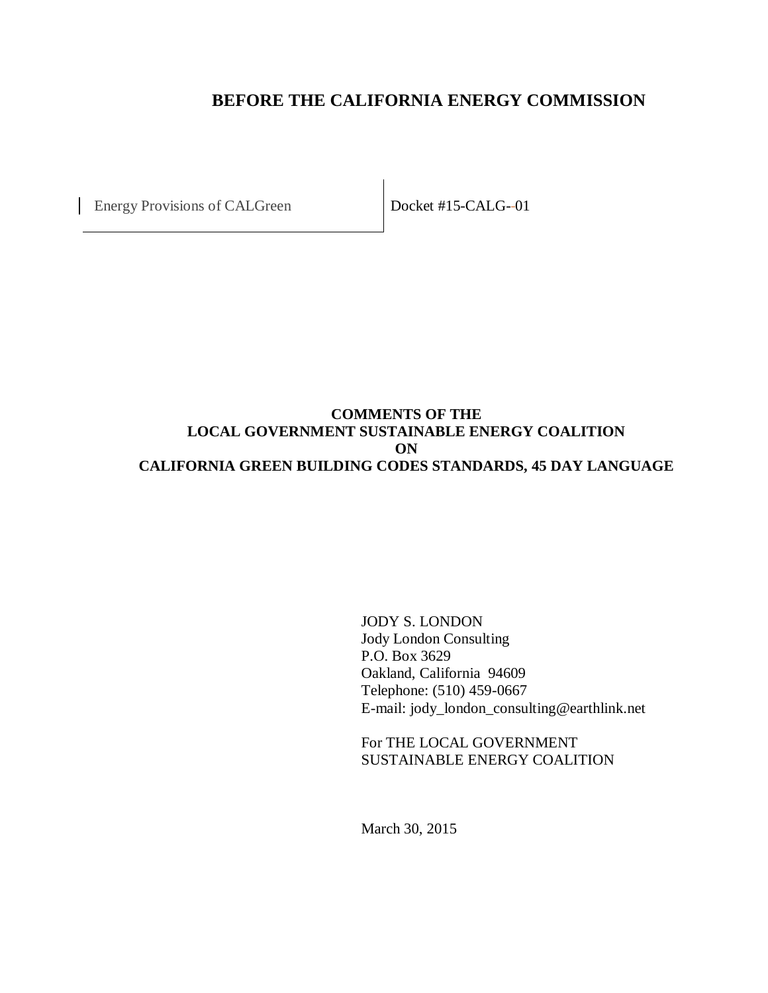## **BEFORE THE CALIFORNIA ENERGY COMMISSION**

Energy Provisions of CALGreen Docket #15-CALG--01

## **COMMENTS OF THE LOCAL GOVERNMENT SUSTAINABLE ENERGY COALITION ON CALIFORNIA GREEN BUILDING CODES STANDARDS, 45 DAY LANGUAGE**

JODY S. LONDON Jody London Consulting P.O. Box 3629 Oakland, California 94609 Telephone: (510) 459-0667 E-mail: jody\_london\_consulting@earthlink.net

For THE LOCAL GOVERNMENT SUSTAINABLE ENERGY COALITION

March 30, 2015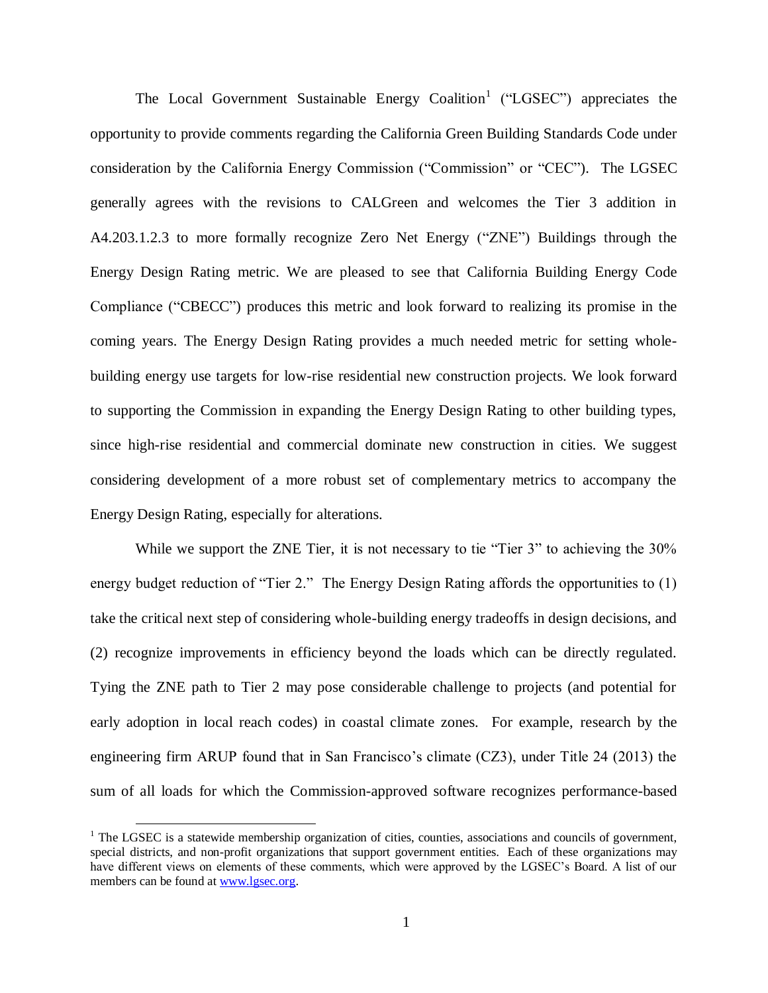The Local Government Sustainable Energy Coalition<sup>1</sup> ("LGSEC") appreciates the opportunity to provide comments regarding the California Green Building Standards Code under consideration by the California Energy Commission ("Commission" or "CEC"). The LGSEC generally agrees with the revisions to CALGreen and welcomes the Tier 3 addition in A4.203.1.2.3 to more formally recognize Zero Net Energy ("ZNE") Buildings through the Energy Design Rating metric. We are pleased to see that California Building Energy Code Compliance ("CBECC") produces this metric and look forward to realizing its promise in the coming years. The Energy Design Rating provides a much needed metric for setting wholebuilding energy use targets for low-rise residential new construction projects. We look forward to supporting the Commission in expanding the Energy Design Rating to other building types, since high-rise residential and commercial dominate new construction in cities. We suggest considering development of a more robust set of complementary metrics to accompany the Energy Design Rating, especially for alterations.

While we support the ZNE Tier, it is not necessary to tie "Tier 3" to achieving the 30% energy budget reduction of "Tier 2." The Energy Design Rating affords the opportunities to (1) take the critical next step of considering whole-building energy tradeoffs in design decisions, and (2) recognize improvements in efficiency beyond the loads which can be directly regulated. Tying the ZNE path to Tier 2 may pose considerable challenge to projects (and potential for early adoption in local reach codes) in coastal climate zones. For example, research by the engineering firm ARUP found that in San Francisco's climate (CZ3), under Title 24 (2013) the sum of all loads for which the Commission-approved software recognizes performance-based

 $\overline{a}$ 

 $<sup>1</sup>$  The LGSEC is a statewide membership organization of cities, counties, associations and councils of government,</sup> special districts, and non-profit organizations that support government entities. Each of these organizations may have different views on elements of these comments, which were approved by the LGSEC's Board. A list of our members can be found at [www.lgsec.org.](http://www.lgsec.org/)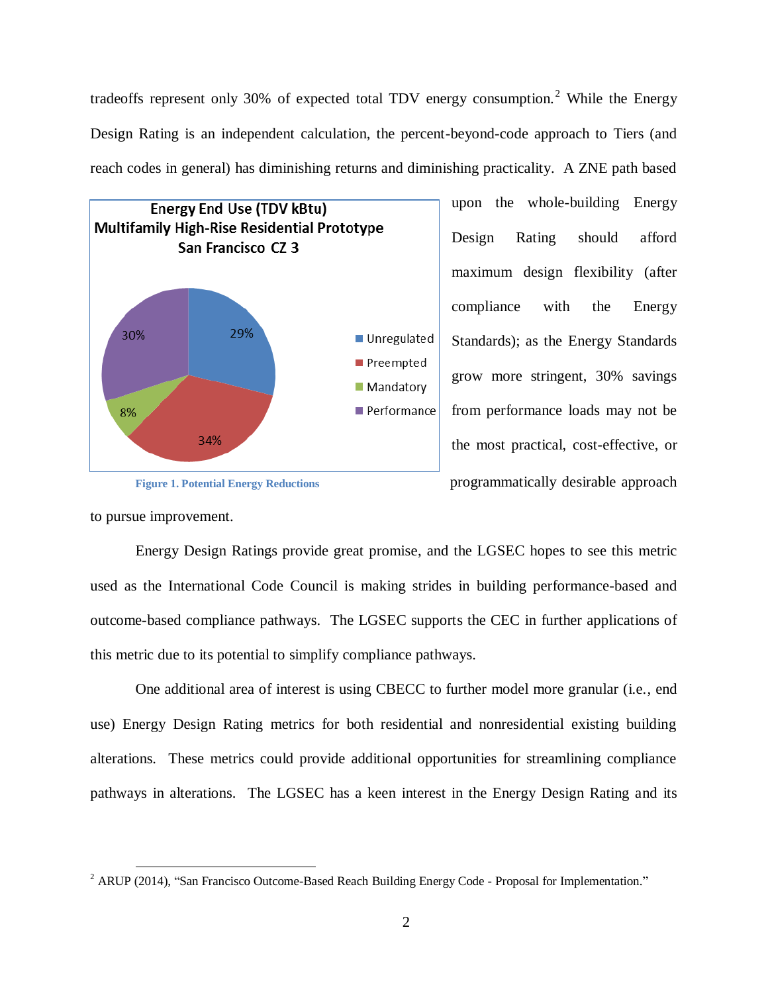tradeoffs represent only 30% of expected total TDV energy consumption.<sup>2</sup> While the Energy Design Rating is an independent calculation, the percent-beyond-code approach to Tiers (and reach codes in general) has diminishing returns and diminishing practicality. A ZNE path based



upon the whole-building Energy Design Rating should afford maximum design flexibility (after compliance with the Energy Standards); as the Energy Standards grow more stringent, 30% savings from performance loads may not be the most practical, cost-effective, or programmatically desirable approach

**Figure 1. Potential Energy Reductions**

to pursue improvement.

 $\overline{a}$ 

Energy Design Ratings provide great promise, and the LGSEC hopes to see this metric used as the International Code Council is making strides in building performance-based and outcome-based compliance pathways. The LGSEC supports the CEC in further applications of this metric due to its potential to simplify compliance pathways.

One additional area of interest is using CBECC to further model more granular (i.e., end use) Energy Design Rating metrics for both residential and nonresidential existing building alterations. These metrics could provide additional opportunities for streamlining compliance pathways in alterations. The LGSEC has a keen interest in the Energy Design Rating and its

 $2^2$  ARUP (2014), "San Francisco Outcome-Based Reach Building Energy Code - Proposal for Implementation."